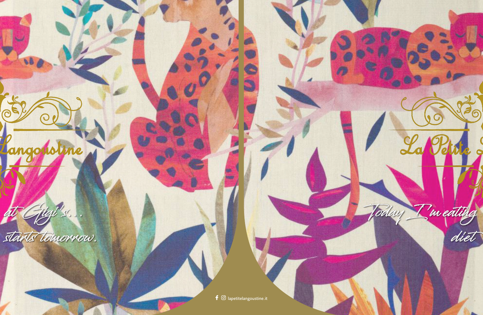

at Gigi's...

oline

80

 $\bigcirc$ 

starts tomorrow.